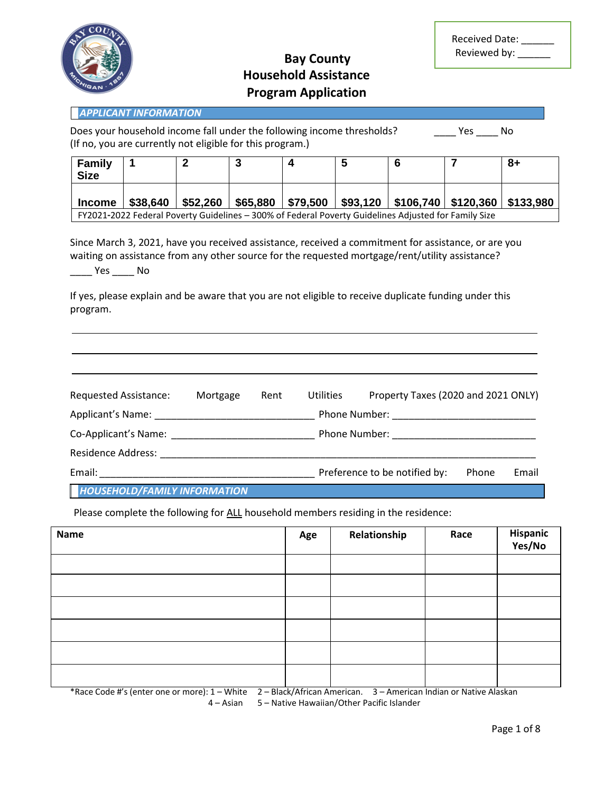

# **Bay County Household Assistance Program Application**

| <b>Received Date:</b> |  |
|-----------------------|--|
| Reviewed by:          |  |

| <b>APPLICANT INFORMATION</b>                                                                                                                       |          |          |          |          |          |           |                       |    |
|----------------------------------------------------------------------------------------------------------------------------------------------------|----------|----------|----------|----------|----------|-----------|-----------------------|----|
| Does your household income fall under the following income thresholds?<br>No.<br>Yes.<br>(If no, you are currently not eligible for this program.) |          |          |          |          |          |           |                       |    |
| <b>Family</b><br><b>Size</b>                                                                                                                       |          |          |          |          | 5        |           |                       | -8 |
| <b>Income</b>                                                                                                                                      | \$38,640 | \$52,260 | \$65,880 | \$79,500 | \$93,120 | \$106,740 | \$120,360   \$133,980 |    |

FY2021-2022 Federal Poverty Guidelines – 300% of Federal Poverty Guidelines Adjusted for Family Size

Since March 3, 2021, have you received assistance, received a commitment for assistance, or are you waiting on assistance from any other source for the requested mortgage/rent/utility assistance?  $\frac{1}{2}$  Yes  $\frac{1}{2}$  No

If yes, please explain and be aware that you are not eligible to receive duplicate funding under this program.

| <b>Requested Assistance:</b>        | Mortgage | Rent | <b>Utilities</b> | Property Taxes (2020 and 2021 ONLY) |       |       |
|-------------------------------------|----------|------|------------------|-------------------------------------|-------|-------|
| Applicant's Name:                   |          |      |                  |                                     |       |       |
|                                     |          |      |                  |                                     |       |       |
| <b>Residence Address:</b>           |          |      |                  |                                     |       |       |
| Email:                              |          |      |                  | Preference to be notified by:       | Phone | Email |
| <b>HOUSEHOLD/FAMILY INFORMATION</b> |          |      |                  |                                     |       |       |

Please complete the following for ALL household members residing in the residence:

| <b>Name</b> | Age | Relationship | Race | Hispanic<br>Yes/No |
|-------------|-----|--------------|------|--------------------|
|             |     |              |      |                    |
|             |     |              |      |                    |
|             |     |              |      |                    |
|             |     |              |      |                    |
|             |     |              |      |                    |
|             |     |              |      |                    |

\*Race Code #'s (enter one or more): 1 – White 2 – Black/African American. 3 – American Indian or Native Alaskan 4 – Asian 5 – Native Hawaiian/Other Pacific Islander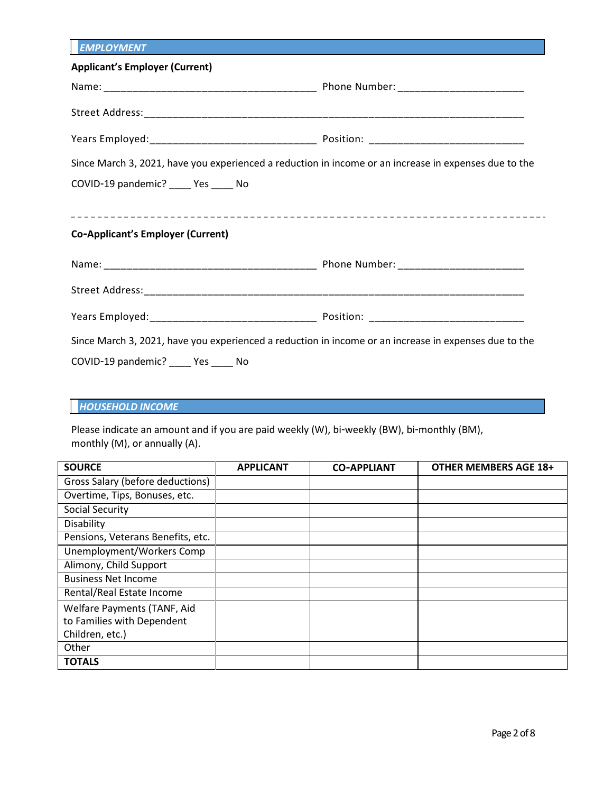| <b>EMPLOYMENT</b>                                                                                     |  |
|-------------------------------------------------------------------------------------------------------|--|
| <b>Applicant's Employer (Current)</b>                                                                 |  |
|                                                                                                       |  |
|                                                                                                       |  |
|                                                                                                       |  |
| Since March 3, 2021, have you experienced a reduction in income or an increase in expenses due to the |  |
| COVID-19 pandemic? _____ Yes _____ No                                                                 |  |
|                                                                                                       |  |
| <b>Co-Applicant's Employer (Current)</b>                                                              |  |
|                                                                                                       |  |
|                                                                                                       |  |
|                                                                                                       |  |
| Since March 3, 2021, have you experienced a reduction in income or an increase in expenses due to the |  |
| COVID-19 pandemic? _____ Yes _____ No                                                                 |  |

### *HOUSEHOLD INCOME*

Please indicate an amount and if you are paid weekly (W), bi-weekly (BW), bi-monthly (BM), monthly (M), or annually (A).

| <b>SOURCE</b>                     | <b>APPLICANT</b> | <b>CO-APPLIANT</b> | <b>OTHER MEMBERS AGE 18+</b> |
|-----------------------------------|------------------|--------------------|------------------------------|
| Gross Salary (before deductions)  |                  |                    |                              |
| Overtime, Tips, Bonuses, etc.     |                  |                    |                              |
| Social Security                   |                  |                    |                              |
| Disability                        |                  |                    |                              |
| Pensions, Veterans Benefits, etc. |                  |                    |                              |
| Unemployment/Workers Comp         |                  |                    |                              |
| Alimony, Child Support            |                  |                    |                              |
| <b>Business Net Income</b>        |                  |                    |                              |
| Rental/Real Estate Income         |                  |                    |                              |
| Welfare Payments (TANF, Aid       |                  |                    |                              |
| to Families with Dependent        |                  |                    |                              |
| Children, etc.)                   |                  |                    |                              |
| Other                             |                  |                    |                              |
| <b>TOTALS</b>                     |                  |                    |                              |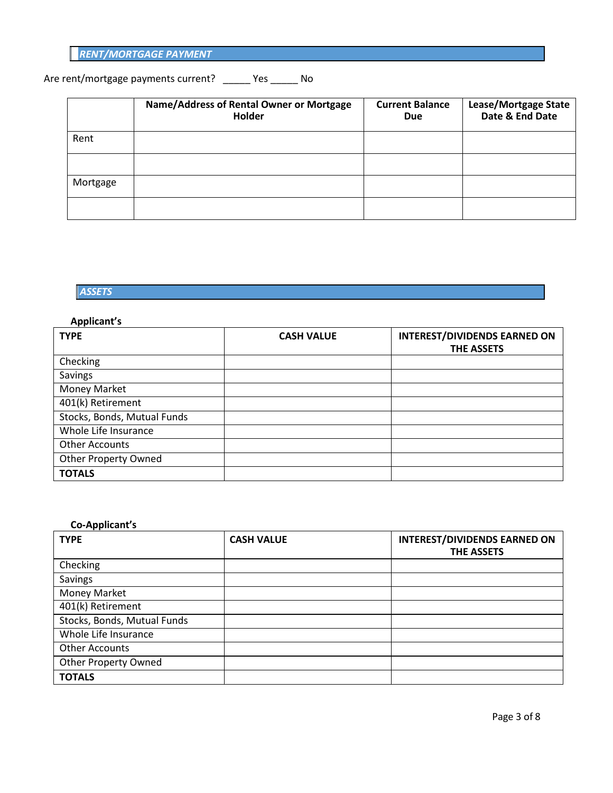| <b>RENT/MORTGAGE PAYMENT</b> |  |  |  |
|------------------------------|--|--|--|
|                              |  |  |  |

# Are rent/mortgage payments current? \_\_\_\_\_ Yes \_\_\_\_\_ No

|          | Name/Address of Rental Owner or Mortgage<br>Holder | <b>Current Balance</b><br><b>Due</b> | Lease/Mortgage State<br>Date & End Date |
|----------|----------------------------------------------------|--------------------------------------|-----------------------------------------|
| Rent     |                                                    |                                      |                                         |
|          |                                                    |                                      |                                         |
| Mortgage |                                                    |                                      |                                         |
|          |                                                    |                                      |                                         |

### *ASSETS*

#### **Applicant's**

| <b>TYPE</b>                 | <b>CASH VALUE</b> | <b>INTEREST/DIVIDENDS EARNED ON</b><br><b>THE ASSETS</b> |
|-----------------------------|-------------------|----------------------------------------------------------|
| Checking                    |                   |                                                          |
| Savings                     |                   |                                                          |
| Money Market                |                   |                                                          |
| 401(k) Retirement           |                   |                                                          |
| Stocks, Bonds, Mutual Funds |                   |                                                          |
| Whole Life Insurance        |                   |                                                          |
| <b>Other Accounts</b>       |                   |                                                          |
| <b>Other Property Owned</b> |                   |                                                          |
| <b>TOTALS</b>               |                   |                                                          |

### **Co-Applicant's**

| <b>TYPE</b>                 | <b>CASH VALUE</b> | <b>INTEREST/DIVIDENDS EARNED ON</b><br><b>THE ASSETS</b> |
|-----------------------------|-------------------|----------------------------------------------------------|
| Checking                    |                   |                                                          |
| Savings                     |                   |                                                          |
| Money Market                |                   |                                                          |
| 401(k) Retirement           |                   |                                                          |
| Stocks, Bonds, Mutual Funds |                   |                                                          |
| Whole Life Insurance        |                   |                                                          |
| <b>Other Accounts</b>       |                   |                                                          |
| <b>Other Property Owned</b> |                   |                                                          |
| <b>TOTALS</b>               |                   |                                                          |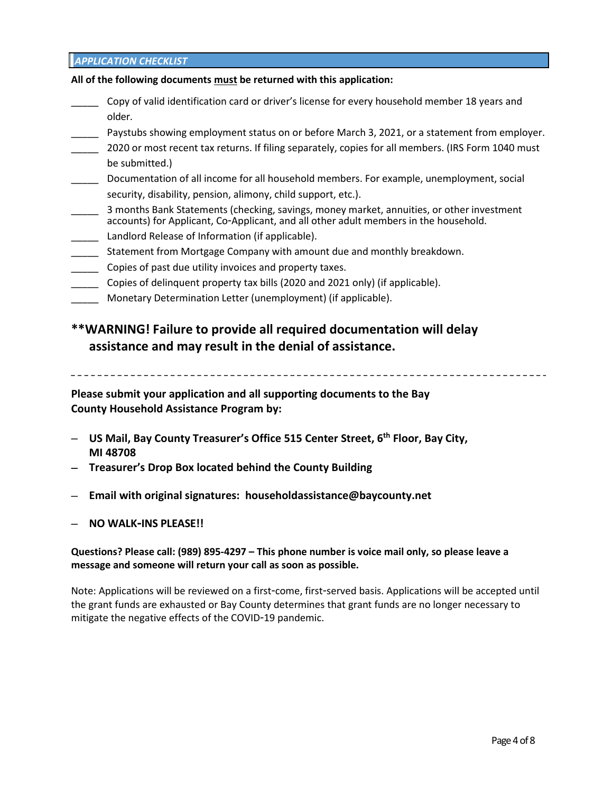#### *APPLICATION CHECKLIST*

#### **All of the following documents must be returned with this application:**

- Copy of valid identification card or driver's license for every household member 18 years and older.
- \_\_\_\_\_ Paystubs showing employment status on or before March 3, 2021, or a statement from employer.
- 2020 or most recent tax returns. If filing separately, copies for all members. (IRS Form 1040 must be submitted.)
- \_\_\_\_\_ Documentation of all income for all household members. For example, unemployment, social security, disability, pension, alimony, child support, etc.).
- 3 months Bank Statements (checking, savings, money market, annuities, or other investment accounts) for Applicant, Co-Applicant, and all other adult members in the household.
- Landlord Release of Information (if applicable).
- Statement from Mortgage Company with amount due and monthly breakdown.
- \_\_\_\_\_ Copies of past due utility invoices and property taxes.
- \_\_\_\_\_ Copies of delinquent property tax bills (2020 and 2021 only) (if applicable).
- Monetary Determination Letter (unemployment) (if applicable).

## **\*\*WARNING! Failure to provide all required documentation will delay assistance and may result in the denial of assistance.**

**Please submit your application and all supporting documents to the Bay County Household Assistance Program by:** 

- **US Mail, Bay County Treasurer's Office 515 Center Street, 6th Floor, Bay City, MI 48708**
- **Treasurer's Drop Box located behind the County Building**
- **Email with original signatures: householdassistance@baycounty.net**
- **NO WALK-INS PLEASE!!**

#### **Questions? Please call: (989) 895-4297 – This phone number is voice mail only, so please leave a message and someone will return your call as soon as possible.**

Note: Applications will be reviewed on a first-come, first-served basis. Applications will be accepted until the grant funds are exhausted or Bay County determines that grant funds are no longer necessary to mitigate the negative effects of the COVID-19 pandemic.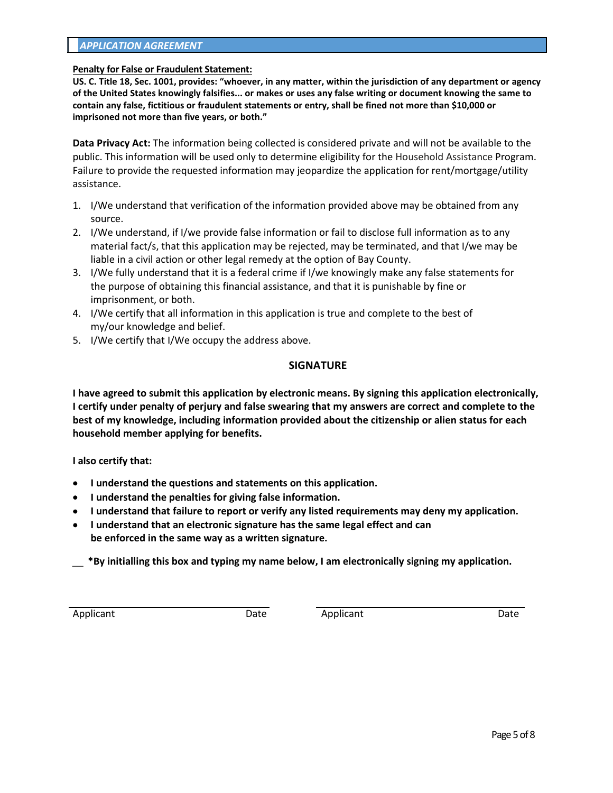#### *APPLICATION AGREEMENT*

#### **Penalty for False or Fraudulent Statement:**

**US. C. Title 18, Sec. 1001, provides: "whoever, in any matter, within the jurisdiction of any department or agency of the United States knowingly falsifies... or makes or uses any false writing or document knowing the same to contain any false, fictitious or fraudulent statements or entry, shall be fined not more than \$10,000 or imprisoned not more than five years, or both."** 

**Data Privacy Act:** The information being collected is considered private and will not be available to the public. This information will be used only to determine eligibility for the Household Assistance Program. Failure to provide the requested information may jeopardize the application for rent/mortgage/utility assistance.

- 1. I/We understand that verification of the information provided above may be obtained from any source.
- 2. I/We understand, if I/we provide false information or fail to disclose full information as to any material fact/s, that this application may be rejected, may be terminated, and that I/we may be liable in a civil action or other legal remedy at the option of Bay County.
- 3. I/We fully understand that it is a federal crime if I/we knowingly make any false statements for the purpose of obtaining this financial assistance, and that it is punishable by fine or imprisonment, or both.
- 4. I/We certify that all information in this application is true and complete to the best of my/our knowledge and belief.
- 5. I/We certify that I/We occupy the address above.

#### **SIGNATURE**

**I have agreed to submit this application by electronic means. By signing this application electronically, I certify under penalty of perjury and false swearing that my answers are correct and complete to the best of my knowledge, including information provided about the citizenship or alien status for each household member applying for benefits.** 

**I also certify that:** 

- **I understand the questions and statements on this application.**
- **I understand the penalties for giving false information.**
- **I understand that failure to report or verify any listed requirements may deny my application.**
- **I understand that an electronic signature has the same legal effect and can be enforced in the same way as a written signature.**

\_\_ **\*By initialling this box and typing my name below, I am electronically signing my application.**

Applicant Date **Date Contains Applicant** Date **Date**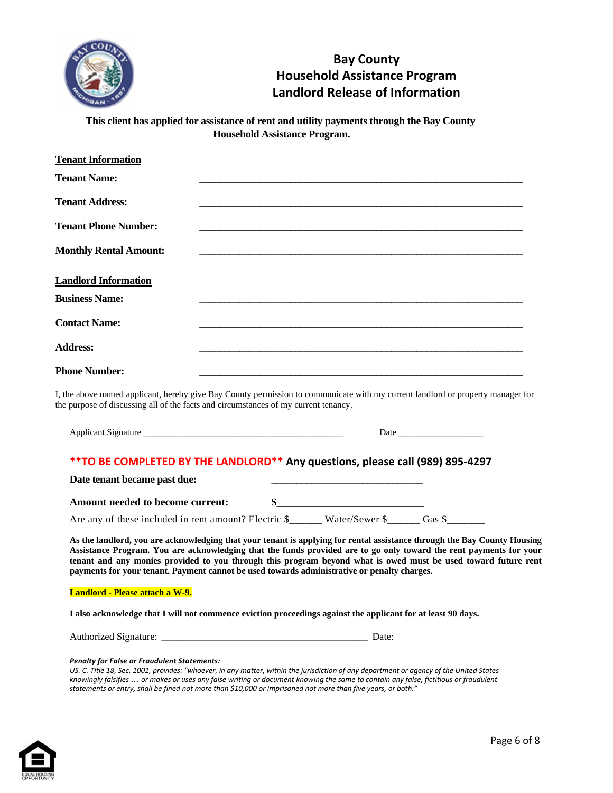

# **Bay County Household Assistance Program Landlord Release of Information**

**This client has applied for assistance of rent and utility payments through the Bay County Household Assistance Program.** 

| <b>Tenant Information</b>     |                                                                                                                                                                                                                        |
|-------------------------------|------------------------------------------------------------------------------------------------------------------------------------------------------------------------------------------------------------------------|
| <b>Tenant Name:</b>           |                                                                                                                                                                                                                        |
| <b>Tenant Address:</b>        |                                                                                                                                                                                                                        |
| <b>Tenant Phone Number:</b>   |                                                                                                                                                                                                                        |
| <b>Monthly Rental Amount:</b> |                                                                                                                                                                                                                        |
| <b>Landlord Information</b>   |                                                                                                                                                                                                                        |
| <b>Business Name:</b>         |                                                                                                                                                                                                                        |
| <b>Contact Name:</b>          |                                                                                                                                                                                                                        |
| <b>Address:</b>               |                                                                                                                                                                                                                        |
| <b>Phone Number:</b>          |                                                                                                                                                                                                                        |
|                               | I, the above named applicant, hereby give Bay County permission to communicate with my current landlord or property manager for<br>the purpose of discussing all of the facts and circumstances of my current tenancy. |

Applicant Signature \_\_\_\_\_\_\_\_\_\_\_\_\_\_\_\_\_\_\_\_\_\_\_\_\_\_\_\_\_\_\_\_\_\_\_\_\_\_\_\_\_\_\_\_\_ Date \_\_\_\_\_\_\_\_\_\_\_\_\_\_\_\_\_\_\_

#### **\*\*TO BE COMPLETED BY THE LANDLORD\*\* Any questions, please call (989) 895-4297**

Date tenant became past due:

| Amount needed to become current: |  |
|----------------------------------|--|
|                                  |  |

Are any of these included in rent amount? Electric \$**\_\_\_\_\_\_** Water/Sewer \$**\_\_\_\_\_\_** Gas \$**\_\_\_\_\_\_\_**

**As the landlord, you are acknowledging that your tenant is applying for rental assistance through the Bay County Housing Assistance Program. You are acknowledging that the funds provided are to go only toward the rent payments for your tenant and any monies provided to you through this program beyond what is owed must be used toward future rent payments for your tenant. Payment cannot be used towards administrative or penalty charges.** 

#### **Landlord - Please attach a W-9.**

**I also acknowledge that I will not commence eviction proceedings against the applicant for at least 90 days.** 

Authorized Signature: \_\_\_\_\_\_\_\_\_\_\_\_\_\_\_\_\_\_\_\_\_\_\_\_\_\_\_\_\_\_\_\_\_\_\_\_\_\_\_\_\_ Date:

#### *Penalty for False or Fraudulent Statements:*

US. C. Title 18, Sec. 1001, provides: "whoever, in any matter, within the jurisdiction of any department or agency of the United States *knowingly falsifies* ... *or makes or uses any false writing or document knowing the same to contain any false, fictitious or fraudulent statements or entry, shall be fined not more than \$10,000 or imprisoned not more than five years, or both."* 

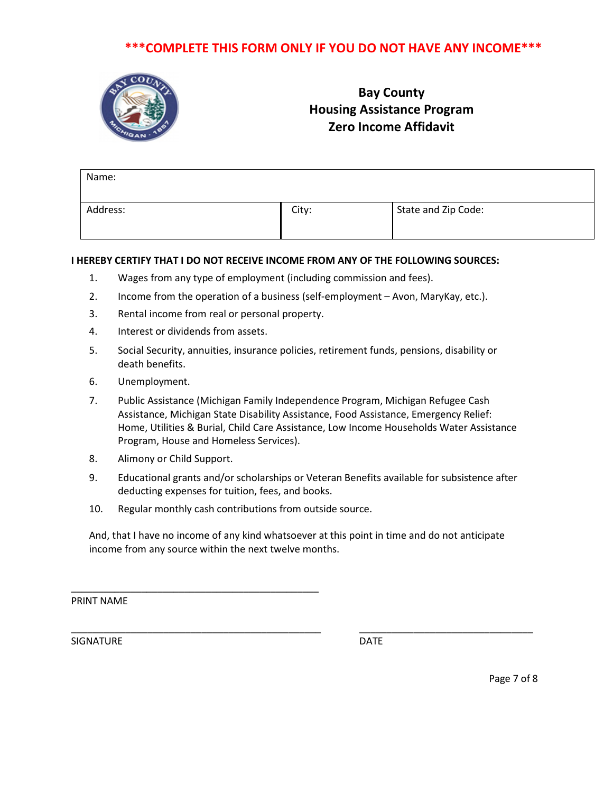## **\*\*\*COMPLETE THIS FORM ONLY IF YOU DO NOT HAVE ANY INCOME\*\*\***



# **Bay County Housing Assistance Program Zero Income Affidavit**

| Name:    |       |                     |
|----------|-------|---------------------|
| Address: | City: | State and Zip Code: |

### **I HEREBY CERTIFY THAT I DO NOT RECEIVE INCOME FROM ANY OF THE FOLLOWING SOURCES:**

- 1. Wages from any type of employment (including commission and fees).
- 2. Income from the operation of a business (self-employment Avon, MaryKay, etc.).
- 3. Rental income from real or personal property.
- 4. Interest or dividends from assets.
- 5. Social Security, annuities, insurance policies, retirement funds, pensions, disability or death benefits.
- 6. Unemployment.
- 7. Public Assistance (Michigan Family Independence Program, Michigan Refugee Cash Assistance, Michigan State Disability Assistance, Food Assistance, Emergency Relief: Home, Utilities & Burial, Child Care Assistance, Low Income Households Water Assistance Program, House and Homeless Services).
- 8. Alimony or Child Support.
- 9. Educational grants and/or scholarships or Veteran Benefits available for subsistence after deducting expenses for tuition, fees, and books.
- 10. Regular monthly cash contributions from outside source.

\_\_\_\_\_\_\_\_\_\_\_\_\_\_\_\_\_\_\_\_\_\_\_\_\_\_\_\_\_\_\_\_\_\_\_\_\_\_\_\_\_\_\_\_\_\_

And, that I have no income of any kind whatsoever at this point in time and do not anticipate income from any source within the next twelve months.

\_\_\_\_\_\_\_\_\_\_\_\_\_\_\_\_\_\_\_\_\_\_\_\_\_\_\_\_\_\_\_\_\_\_\_\_\_\_\_\_\_\_\_\_\_\_ \_\_\_\_\_\_\_\_\_\_\_\_\_\_\_\_\_\_\_\_\_\_\_\_\_\_\_\_\_\_\_\_

PRINT NAME

SIGNATURE DATE

Page 7 of 8